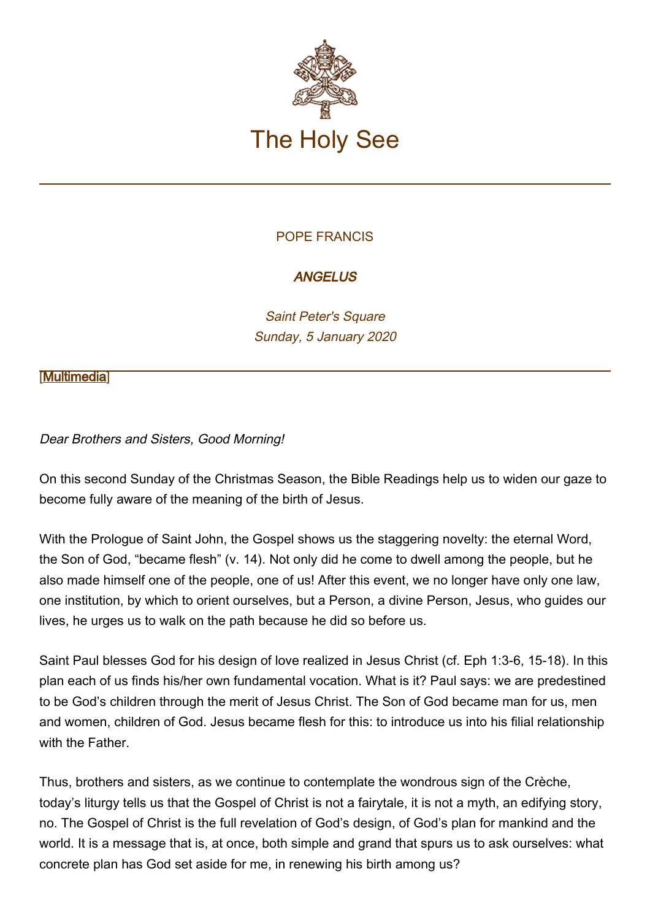

## POPE FRANCIS

## **ANGELUS**

Saint Peter's Square Sunday, 5 January 2020

#### **[\[Multimedia](http://w2.vatican.va/content/francesco/en/events/event.dir.html/content/vaticanevents/en/2020/1/5/angelus.html)]**

### Dear Brothers and Sisters, Good Morning!

On this second Sunday of the Christmas Season, the Bible Readings help us to widen our gaze to become fully aware of the meaning of the birth of Jesus.

With the Prologue of Saint John, the Gospel shows us the staggering novelty: the eternal Word, the Son of God, "became flesh" (v. 14). Not only did he come to dwell among the people, but he also made himself one of the people, one of us! After this event, we no longer have only one law, one institution, by which to orient ourselves, but a Person, a divine Person, Jesus, who guides our lives, he urges us to walk on the path because he did so before us.

Saint Paul blesses God for his design of love realized in Jesus Christ (cf. Eph 1:3-6, 15-18). In this plan each of us finds his/her own fundamental vocation. What is it? Paul says: we are predestined to be God's children through the merit of Jesus Christ. The Son of God became man for us, men and women, children of God. Jesus became flesh for this: to introduce us into his filial relationship with the Father.

Thus, brothers and sisters, as we continue to contemplate the wondrous sign of the Crèche, today's liturgy tells us that the Gospel of Christ is not a fairytale, it is not a myth, an edifying story, no. The Gospel of Christ is the full revelation of God's design, of God's plan for mankind and the world. It is a message that is, at once, both simple and grand that spurs us to ask ourselves: what concrete plan has God set aside for me, in renewing his birth among us?